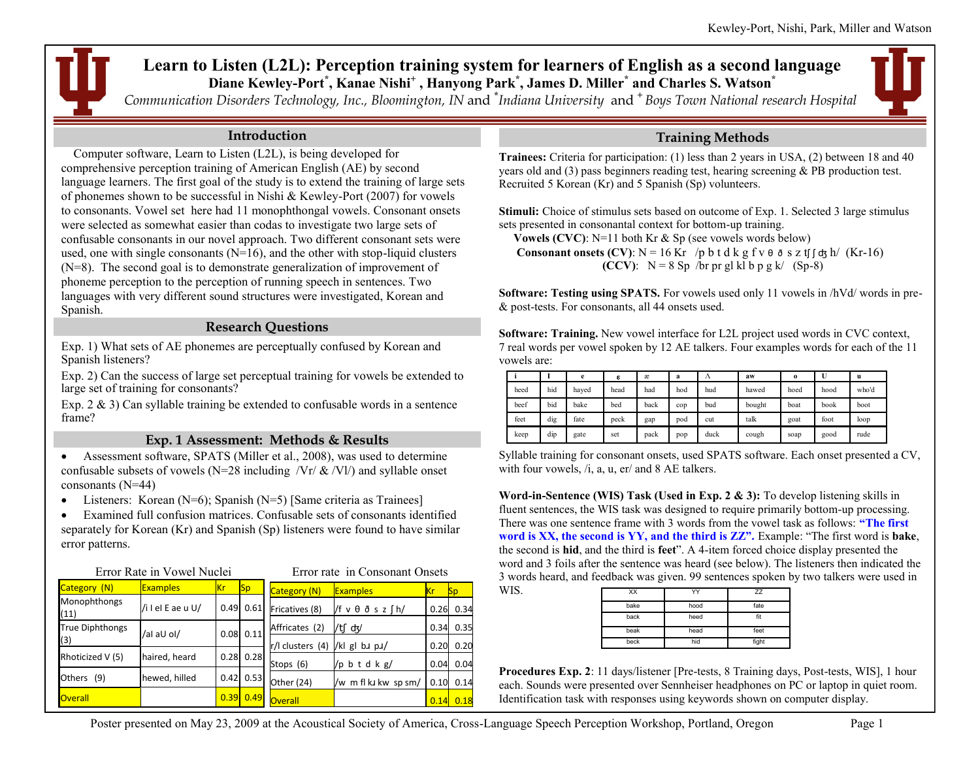# **Learn to Listen (L2L): Perception training system for learners of English as a second language Diane Kewley-Port\* , Kanae Nishi<sup>+</sup> , Hanyong Park\* , James D. Miller\* and Charles S. Watson\***

*Communication Disorders Technology, Inc., Bloomington, IN* and **\*** *Indiana University* and **<sup>+</sup>***Boys Town National research Hospital*

### **Introduction**

 Computer software, Learn to Listen (L2L), is being developed for comprehensive perception training of American English (AE) by second language learners. The first goal of the study is to extend the training of large sets of phonemes shown to be successful in Nishi & Kewley-Port (2007) for vowels to consonants. Vowel set here had 11 monophthongal vowels. Consonant onsets were selected as somewhat easier than codas to investigate two large sets of confusable consonants in our novel approach. Two different consonant sets were used, one with single consonants  $(N=16)$ , and the other with stop-liquid clusters (N=8). The second goal is to demonstrate generalization of improvement of phoneme perception to the perception of running speech in sentences. Two languages with very different sound structures were investigated, Korean and Spanish.

### **Research Questions**

Exp. 1) What sets of AE phonemes are perceptually confused by Korean and Spanish listeners?

Exp. 2) Can the success of large set perceptual training for vowels be extended to large set of training for consonants?

Exp.  $2 \& 3$ ) Can syllable training be extended to confusable words in a sentence frame?

## **Exp. 1 Assessment: Methods & Results**

 Assessment software, SPATS (Miller et al., 2008), was used to determine confusable subsets of vowels (N=28 including  $/Vr / \&$  /Vl/) and syllable onset consonants (N=44)

• Listeners: Korean (N=6); Spanish (N=5) [Same criteria as Trainees]

 Examined full confusion matrices. Confusable sets of consonants identified separately for Korean (Kr) and Spanish (Sp) listeners were found to have similar error patterns.

|                        | Error Rate in Vowel Nuclei | Error rate in Consonant Onsets |                       |                  |                                   |      |           |
|------------------------|----------------------------|--------------------------------|-----------------------|------------------|-----------------------------------|------|-----------|
| Category (N)           | <b>Examples</b>            | <b>Kr</b>                      | <b>Sp</b>             | Category (N)     | <b>Examples</b>                   | Κr   | <b>Sp</b> |
| Monophthongs<br>(11)   | /i I el E ae u U/          |                                | $0.49$ $0.61$         | Fricatives (8)   | $/f v \theta \delta s z \int h /$ | 0.26 | 0.34      |
| <b>True Diphthongs</b> | /al aU ol/                 |                                | $0.08 \ 0.11$         | Affricates (2)   | /tr d                             | 0.34 | 0.35      |
| (3)                    |                            |                                |                       | r/l clusters (4) | /kl gl bu pu/                     | 0.20 | 0.20      |
| Rhoticized V (5)       | haired, heard              |                                | $0.28$ 0.28           | Stops (6)        | /p b t d k $g/$                   | 0.04 | 0.04      |
| Others (9)             | hewed, hilled              |                                | $0.42 \mid 0.53 \mid$ | Other (24)       | /w m fl ku kw sp sm/              | 0.10 | 0.14      |
| <b>Overall</b>         |                            |                                | $0.39$ $0.49$         | <b>Overall</b>   |                                   | 0.14 | 0.18      |

# **Training Methods**

**Trainees:** Criteria for participation: (1) less than 2 years in USA, (2) between 18 and 40 years old and (3) pass beginners reading test, hearing screening & PB production test. Recruited 5 Korean (Kr) and 5 Spanish (Sp) volunteers.

**Stimuli:** Choice of stimulus sets based on outcome of Exp. 1. Selected 3 large stimulus sets presented in consonantal context for bottom-up training.

**Vowels (CVC)**: N=11 both Kr & Sp (see vowels words below)

**Consonant onsets (CV)**:  $N = 16$  Kr /p b t d k g f v  $\theta$   $\delta$  s z tf  $\int dx h / (Kr-16)$ **(CCV)**:  $N = 8$  Sp /br pr gl kl b p g k/ (Sp-8)

**Software: Testing using SPATS.** For vowels used only 11 vowels in /hVd/ words in pre- & post-tests. For consonants, all 44 onsets used.

**Software: Training.** New vowel interface for L2L project used words in CVC context, 7 real words per vowel spoken by 12 AE talkers. Four examples words for each of the 11 vowels are:

|      |     | e     | ε    | æ    | a   | Λ    | aw     | $\bf{0}$ | U    | u     |
|------|-----|-------|------|------|-----|------|--------|----------|------|-------|
| heed | hid | haved | head | had  | hod | hud  | hawed  | hoed     | hood | who'd |
| beef | bid | bake  | bed  | back | cop | bud  | bought | boat     | book | boot  |
| feet | dig | fate  | peck | gap  | pod | cut  | talk   | goat     | foot | loop  |
| keep | dip | gate  | set  | pack | pop | duck | cough  | soap     | good | rude  |

Syllable training for consonant onsets, used SPATS software. Each onset presented a CV, with four vowels,  $/i$ , a, u, er/ and 8 AE talkers.

**Word-in-Sentence (WIS) Task (Used in Exp. 2 & 3):** To develop listening skills in fluent sentences, the WIS task was designed to require primarily bottom-up processing. There was one sentence frame with 3 words from the vowel task as follows: **"The first word is XX, the second is YY, and the third is ZZ".** Example: "The first word is **bake**, the second is **hid**, and the third is **feet**". A 4-item forced choice display presented the word and 3 foils after the sentence was heard (see below). The listeners then indicated the 3 words heard, and feedback was given. 99 sentences spoken by two talkers were used in WIS.

| XX   | YY   | ZZ    |
|------|------|-------|
| bake | hood | fate  |
| back | heed | fit   |
| beak | head | feet  |
| beck | hid  | fight |

**Procedures Exp. 2**: 11 days/listener [Pre-tests, 8 Training days, Post-tests, WIS], 1 hour each. Sounds were presented over Sennheiser headphones on PC or laptop in quiet room. Identification task with responses using keywords shown on computer display.